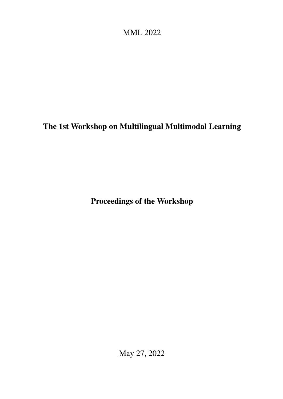<span id="page-0-0"></span>MML 2022

# The 1st Workshop on Multilingual Multimodal Learning

Proceedings of the Workshop

May 27, 2022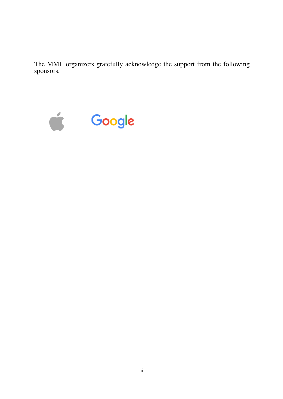The MML organizers gratefully acknowledge the support from the following sponsors.



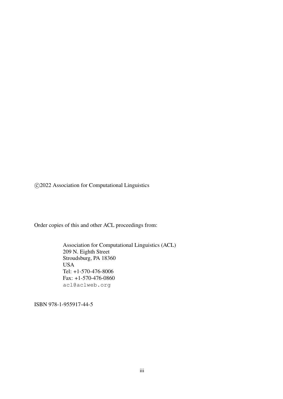c 2022 Association for Computational Linguistics

Order copies of this and other ACL proceedings from:

Association for Computational Linguistics (ACL) 209 N. Eighth Street Stroudsburg, PA 18360 USA Tel: +1-570-476-8006 Fax: +1-570-476-0860 acl@aclweb.org

ISBN 978-1-955917-44-5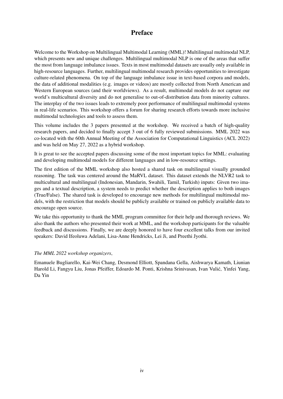### Preface

Welcome to the Workshop on Multilingual Multimodal Learning (MML)! Multilingual multimodal NLP, which presents new and unique challenges. Multilingual multimodal NLP is one of the areas that suffer the most from language imbalance issues. Texts in most multimodal datasets are usually only available in high-resource languages. Further, multilingual multimodal research provides opportunities to investigate culture-related phenomena. On top of the language imbalance issue in text-based corpora and models, the data of additional modalities (e.g. images or videos) are mostly collected from North American and Western European sources (and their worldviews). As a result, multimodal models do not capture our world's multicultural diversity and do not generalise to out-of-distribution data from minority cultures. The interplay of the two issues leads to extremely poor performance of multilingual multimodal systems in real-life scenarios. This workshop offers a forum for sharing research efforts towards more inclusive multimodal technologies and tools to assess them.

This volume includes the 3 papers presented at the workshop. We received a batch of high-quality research papers, and decided to finally accept 3 out of 6 fully reviewed submissions. MML 2022 was co-located with the 60th Annual Meeting of the Association for Computational Linguistics (ACL 2022) and was held on May 27, 2022 as a hybrid workshop.

It is great to see the accepted papers discussing some of the most important topics for MML: evaluating and developing multimodal models for different languages and in low-resource settings.

The first edition of the MML workshop also hosted a shared task on multilingual visually grounded reasoning. The task was centered around the MaRVL dataset. This dataset extends the NLVR2 task to multicultural and multilingual (Indonesian, Mandarin, Swahili, Tamil, Turkish) inputs: Given two images and a textual description, a system needs to predict whether the description applies to both images (True/False). The shared task is developed to encourage new methods for multilingual multimodal models, with the restriction that models should be publicly available or trained on publicly available data to encourage open source.

We take this opportunity to thank the MML program committee for their help and thorough reviews. We also thank the authors who presented their work at MML, and the workshop participants for the valuable feedback and discussions. Finally, we are deeply honored to have four excellent talks from our invited speakers: David Ifeoluwa Adelani, Lisa-Anne Hendricks, Lei Ji, and Preethi Jyothi.

### *The MML 2022 workshop organizers*,

Emanuele Bugliarello, Kai-Wei Chang, Desmond Elliott, Spandana Gella, Aishwarya Kamath, Liunian Harold Li, Fangyu Liu, Jonas Pfeiffer, Edoardo M. Ponti, Krishna Srinivasan, Ivan Vulic, Yinfei Yang, ´ Da Yin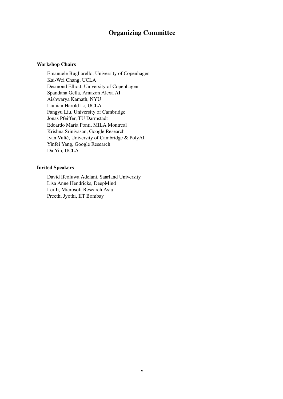### Organizing Committee

#### Workshop Chairs

Emanuele Bugliarello, University of Copenhagen Kai-Wei Chang, UCLA Desmond Elliott, University of Copenhagen Spandana Gella, Amazon Alexa AI Aishwarya Kamath, NYU Liunian Harold Li, UCLA Fangyu Liu, University of Cambridge Jonas Pfeiffer, TU Darmstadt Edoardo Maria Ponti, MILA Montreal Krishna Srinivasan, Google Research Ivan Vulic, University of Cambridge & PolyAI ´ Yinfei Yang, Google Research Da Yin, UCLA

#### Invited Speakers

David Ifeoluwa Adelani, Saarland University Lisa Anne Hendricks, DeepMind Lei Ji, Microsoft Research Asia Preethi Jyothi, IIT Bombay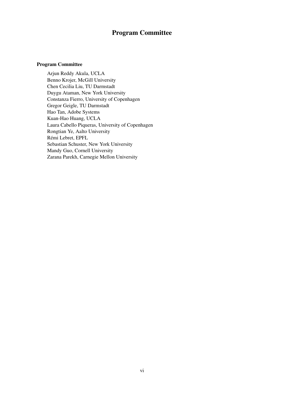### Program Committee

#### Program Committee

Arjun Reddy Akula, UCLA Benno Krojer, McGill University Chen Cecilia Liu, TU Darmstadt Duygu Ataman, New York University Constanza Fierro, University of Copenhagen Gregor Geigle, TU Darmstadt Hao Tan, Adobe Systems Kuan-Hao Huang, UCLA Laura Cabello Piqueras, University of Copenhagen Rongtian Ye, Aalto University Remi Lebret, EPFL ´ Sebastian Schuster, New York University Mandy Guo, Cornell University Zarana Parekh, Carnegie Mellon University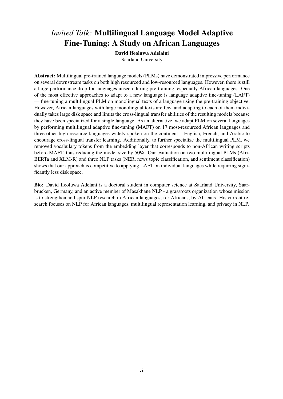## *Invited Talk:* Multilingual Language Model Adaptive Fine-Tuning: A Study on African Languages

David Ifeoluwa Adelaini

Saarland University

Abstract: Multilingual pre-trained language models (PLMs) have demonstrated impressive performance on several downstream tasks on both high resourced and low-resourced languages. However, there is still a large performance drop for languages unseen during pre-training, especially African languages. One of the most effective approaches to adapt to a new language is language adaptive fine-tuning (LAFT) — fine-tuning a multilingual PLM on monolingual texts of a language using the pre-training objective. However, African languages with large monolingual texts are few, and adapting to each of them individually takes large disk space and limits the cross-lingual transfer abilities of the resulting models because they have been specialized for a single language. As an alternative, we adapt PLM on several languages by performing multilingual adaptive fine-tuning (MAFT) on 17 most-resourced African languages and three other high-resource languages widely spoken on the continent – English, French, and Arabic to encourage cross-lingual transfer learning. Additionally, to further specialize the multilingual PLM, we removed vocabulary tokens from the embedding layer that corresponds to non-African writing scripts before MAFT, thus reducing the model size by 50%. Our evaluation on two multilingual PLMs (Afri-BERTa and XLM-R) and three NLP tasks (NER, news topic classification, and sentiment classification) shows that our approach is competitive to applying LAFT on individual languages while requiring significantly less disk space.

Bio: David Ifeoluwa Adelani is a doctoral student in computer science at Saarland University, Saarbrücken, Germany, and an active member of Masakhane NLP - a grassroots organization whose mission is to strengthen and spur NLP research in African languages, for Africans, by Africans. His current research focuses on NLP for African languages, multilingual representation learning, and privacy in NLP.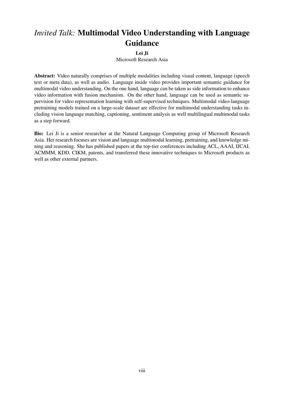## *Invited Talk:* Multimodal Video Understanding with Language Guidance

Lei Ji

Microsoft Research Asia

Abstract: Video naturally comprises of multiple modalities including visual content, language (speech text or meta data), as well as audio. Language inside video provides important semantic guidance for multimodal video understanding. On the one hand, language can be taken as side information to enhance video information with fusion mechanism. On the other hand, language can be used as semantic supervision for video representation learning with self-supervised techniques. Multimodal video-language pretraining models trained on a large-scale dataset are effective for multimodal understanding tasks including vision language matching, captioning, sentiment analysis as well multilingual multimodal tasks as a step forward.

Bio: Lei Ji is a senior researcher at the Natural Language Computing group of Microsoft Research Asia. Her research focuses are vision and language multimodal learning, pretraining, and knowledge mining and reasoning. She has published papers at the top-tier conferences including ACL, AAAI, IJCAI, ACMMM, KDD, CIKM, patents, and transferred these innovative techniques to Microsoft products as well as other external partners.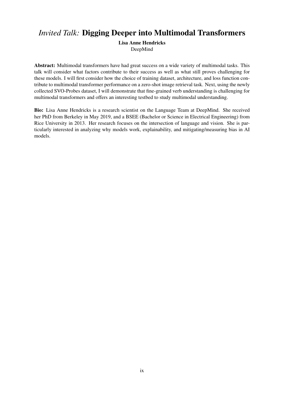## *Invited Talk:* Digging Deeper into Multimodal Transformers

Lisa Anne Hendricks DeepMind

Abstract: Multimodal transformers have had great success on a wide variety of multimodal tasks. This talk will consider what factors contribute to their success as well as what still proves challenging for these models. I will first consider how the choice of training dataset, architecture, and loss function contribute to multimodal transformer performance on a zero-shot image retrieval task. Next, using the newly collected SVO-Probes dataset, I will demonstrate that fine-grained verb understanding is challenging for multimodal transformers and offers an interesting testbed to study multimodal understanding.

Bio: Lisa Anne Hendricks is a research scientist on the Language Team at DeepMind. She received her PhD from Berkeley in May 2019, and a BSEE (Bachelor or Science in Electrical Engineering) from Rice University in 2013. Her research focuses on the intersection of language and vision. She is particularly interested in analyzing why models work, explainability, and mitigating/measuring bias in AI models.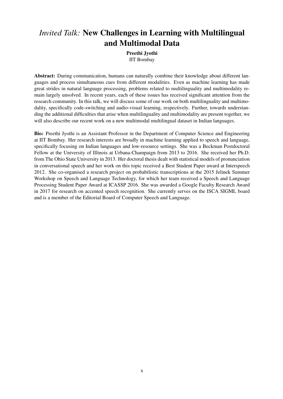# *Invited Talk:* New Challenges in Learning with Multilingual and Multimodal Data

Preethi Jyothi IIT Bombay

Abstract: During communication, humans can naturally combine their knowledge about different languages and process simultaneous cues from different modalities. Even as machine learning has made great strides in natural language processing, problems related to multilinguality and multimodality remain largely unsolved. In recent years, each of these issues has received significant attention from the research community. In this talk, we will discuss some of our work on both multilinguality and multimodality, specifically code-switching and audio-visual learning, respectively. Further, towards understanding the additional difficulties that arise when multilinguality and multimodality are present together, we will also describe our recent work on a new multimodal multilingual dataset in Indian languages.

Bio: Preethi Jyothi is an Assistant Professor in the Department of Computer Science and Engineering at IIT Bombay. Her research interests are broadly in machine learning applied to speech and language, specifically focusing on Indian languages and low-resource settings. She was a Beckman Postdoctoral Fellow at the University of Illinois at Urbana-Champaign from 2013 to 2016. She received her Ph.D. from The Ohio State University in 2013. Her doctoral thesis dealt with statistical models of pronunciation in conversational speech and her work on this topic received a Best Student Paper award at Interspeech 2012. She co-organised a research project on probabilistic transcriptions at the 2015 Jelinek Summer Workshop on Speech and Language Technology, for which her team received a Speech and Language Processing Student Paper Award at ICASSP 2016. She was awarded a Google Faculty Research Award in 2017 for research on accented speech recognition. She currently serves on the ISCA SIGML board and is a member of the Editorial Board of Computer Speech and Language.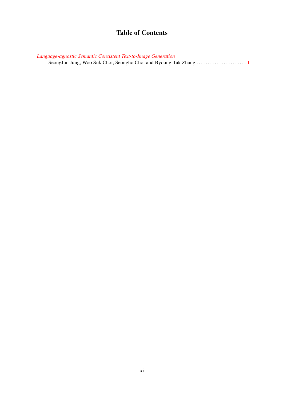## Table of Contents

*[Language-agnostic Semantic Consistent Text-to-Image Generation](#page-0-0)* SeongJun Jung, Woo Suk Choi, Seongho Choi and Byoung-Tak Zhang . . . . . . . . . . . . . . . . . . . . . . [1](#page-0-0)